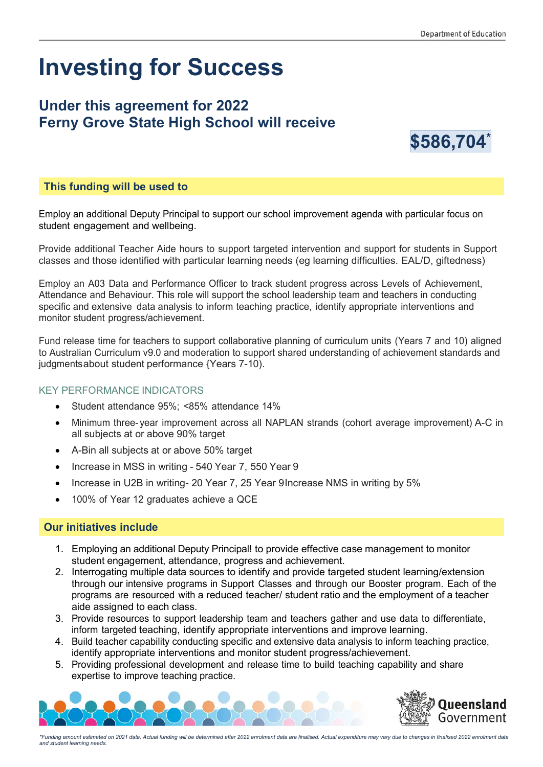# **Investing for Success**

## **Under this agreement for 2022 Ferny Grove State High School will receive**



#### **This funding will be used to**

Employ an additional Deputy Principal to support our school improvement agenda with particular focus on student engagement and wellbeing.

Provide additional Teacher Aide hours to support targeted intervention and support for students in Support classes and those identified with particular learning needs (eg learning difficulties. EAL/D, giftedness)

Employ an A03 Data and Performance Officer to track student progress across Levels of Achievement, Attendance and Behaviour. This role will support the school leadership team and teachers in conducting specific and extensive data analysis to inform teaching practice, identify appropriate interventions and monitor student progress/achievement.

Fund release time for teachers to support collaborative planning of curriculum units (Years 7 and 10) aligned to Australian Curriculum v9.0 and moderation to support shared understanding of achievement standards and judgmentsabout student performance {Years 7-10).

#### KEY PERFORMANCE INDICATORS

- Student attendance 95%; <85% attendance 14%
- Minimum three- year improvement across all NAPLAN strands (cohort average improvement) A-C in all subjects at or above 90% target
- A-Bin all subjects at or above 50% target
- Increase in MSS in writing 540 Year 7, 550 Year 9
- Increase in U2B in writing- 20 Year 7, 25 Year 9Increase NMS in writing by 5%
- 100% of Year 12 graduates achieve a QCE

#### **Our initiatives include**

- 1. Employing an additional Deputy Principal! to provide effective case management to monitor student engagement, attendance, progress and achievement.
- 2. Interrogating multiple data sources to identify and provide targeted student learning/extension through our intensive programs in Support Classes and through our Booster program. Each of the programs are resourced with a reduced teacher/ student ratio and the employment of a teacher aide assigned to each class.
- 3. Provide resources to support leadership team and teachers gather and use data to differentiate, inform targeted teaching, identify appropriate interventions and improve learning.
- 4. Build teacher capability conducting specific and extensive data analysis to inform teaching practice, identify appropriate interventions and monitor student progress/achievement.
- 5. Providing professional development and release time to build teaching capability and share expertise to improve teaching practice.